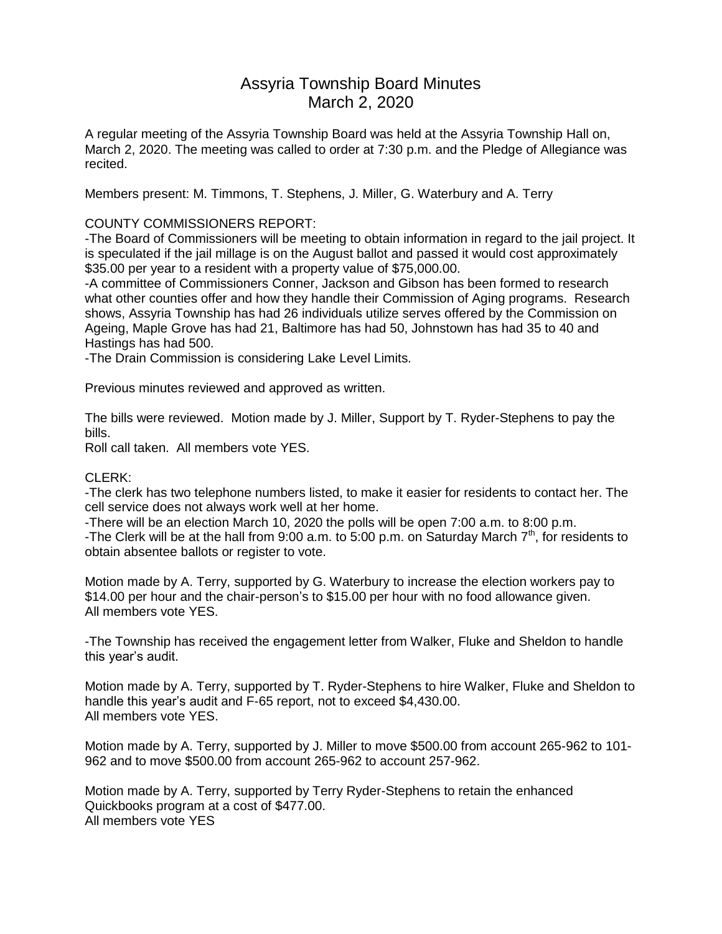# Assyria Township Board Minutes March 2, 2020

A regular meeting of the Assyria Township Board was held at the Assyria Township Hall on, March 2, 2020. The meeting was called to order at 7:30 p.m. and the Pledge of Allegiance was recited.

Members present: M. Timmons, T. Stephens, J. Miller, G. Waterbury and A. Terry

# COUNTY COMMISSIONERS REPORT:

-The Board of Commissioners will be meeting to obtain information in regard to the jail project. It is speculated if the jail millage is on the August ballot and passed it would cost approximately \$35.00 per year to a resident with a property value of \$75,000.00.

-A committee of Commissioners Conner, Jackson and Gibson has been formed to research what other counties offer and how they handle their Commission of Aging programs. Research shows, Assyria Township has had 26 individuals utilize serves offered by the Commission on Ageing, Maple Grove has had 21, Baltimore has had 50, Johnstown has had 35 to 40 and Hastings has had 500.

-The Drain Commission is considering Lake Level Limits.

Previous minutes reviewed and approved as written.

The bills were reviewed. Motion made by J. Miller, Support by T. Ryder-Stephens to pay the bills.

Roll call taken. All members vote YES.

#### CLERK:

-The clerk has two telephone numbers listed, to make it easier for residents to contact her. The cell service does not always work well at her home.

-There will be an election March 10, 2020 the polls will be open 7:00 a.m. to 8:00 p.m. -The Clerk will be at the hall from 9:00 a.m. to 5:00 p.m. on Saturday March  $7<sup>th</sup>$ , for residents to obtain absentee ballots or register to vote.

Motion made by A. Terry, supported by G. Waterbury to increase the election workers pay to \$14.00 per hour and the chair-person's to \$15.00 per hour with no food allowance given. All members vote YES.

-The Township has received the engagement letter from Walker, Fluke and Sheldon to handle this year's audit.

Motion made by A. Terry, supported by T. Ryder-Stephens to hire Walker, Fluke and Sheldon to handle this year's audit and F-65 report, not to exceed \$4,430.00. All members vote YES.

Motion made by A. Terry, supported by J. Miller to move \$500.00 from account 265-962 to 101- 962 and to move \$500.00 from account 265-962 to account 257-962.

Motion made by A. Terry, supported by Terry Ryder-Stephens to retain the enhanced Quickbooks program at a cost of \$477.00. All members vote YES